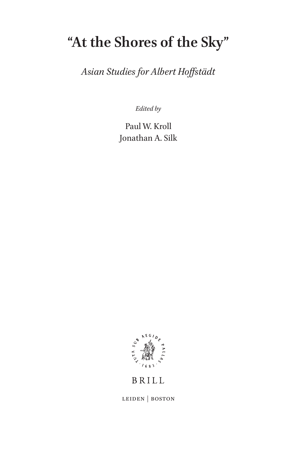# **"At the Shores of the Sky"**

*Asian Studies for Albert Hoffstädt*

*Edited by*

Paul W. Kroll Jonathan A. Silk



## **BRILL**

<span id="page-0-0"></span>LEIDEN | BOSTON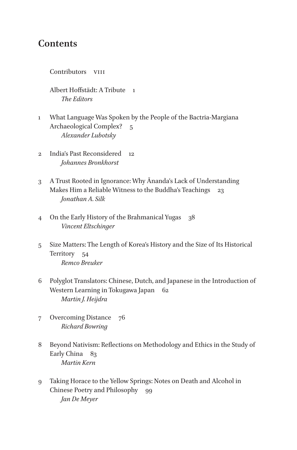## <span id="page-1-0"></span>**Contents**

Contributors VIII

Albert Hoffstädt: A Tribute 1 *The Editors*

- 1 What Language Was Spoken by the People of the Bactria-Margiana Archaeological Complex? 5 *Alexander Lubotsky*
- 2 India's Past Reconsidered 12 *Johannes Bronkhorst*
- 3 A Trust Rooted in Ignorance: Why Ānanda's Lack of Understanding Makes Him a Reliable Witness to the Buddha's Teachings 23 *Jonathan A. Silk*
- 4 On the Early History of the Brahmanical Yugas 38 *Vincent Eltschinger*
- 5 Size Matters: The Length of Korea's History and the Size of Its Historical Territory 54 *Remco Breuker*
- 6 Polyglot Translators: Chinese, Dutch, and Japanese in the Introduction of Western Learning in Tokugawa Japan 62 *Martin J. Heijdra*
- 7 Overcoming Distance 76 *Richard Bowring*
- 8 Beyond Nativism: Reflections on Methodology and Ethics in the Study of Early China 83 *Martin Kern*
- 9 Taking Horace to the Yellow Springs: Notes on Death and Alcohol in Chinese Poetry and Philosophy 99 *Jan De Meyer*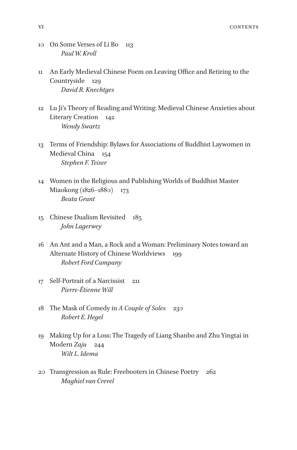via a contents contents of the contents of the contents of the contents of the contents of the contents of the contents of the contents of the contents of the contents of the contents of the contents of the contents of the

- 10 On Some Verses of Li Bo 113 *Paul W. Kroll*
- 11 An Early Medieval Chinese Poem on Leaving Office and Retiring to the Countryside 129 *David R. Knechtges*
- 12 Lu Ji's Theory of Reading and Writing: Medieval Chinese Anxieties about Literary Creation 142 *Wendy Swartz*
- 13 Terms of Friendship: Bylaws for Associations of Buddhist Laywomen in Medieval China 154 *Stephen F. Teiser*
- 14 Women in the Religious and Publishing Worlds of Buddhist Master Miaokong (1826–1880) 173 *Beata Grant*
- 15 Chinese Dualism Revisited 185 *John Lagerwey*
- 16 An Ant and a Man, a Rock and a Woman: Preliminary Notes toward an Alternate History of Chinese Worldviews 199 *Robert Ford Campany*
- 17 Self-Portrait of a Narcissist 211 *Pierre-Étienne Will*
- 18 The Mask of Comedy in *A Couple of Soles* 230 *Robert E. Hegel*
- 19 Making Up for a Loss: The Tragedy of Liang Shanbo and Zhu Yingtai in Modern *Zaju* 244 *Wilt L. Idema*
- 20 Transgression as Rule: Freebooters in Chinese Poetry 262 *Maghiel van Crevel*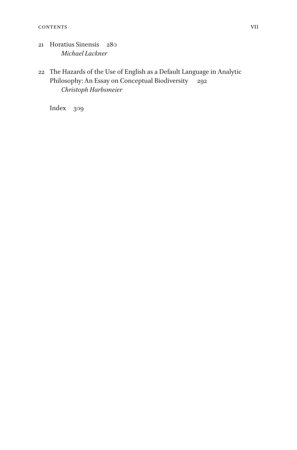- 21 Horatius Sinensis 280 *Michael Lackner*
- 22 The Hazards of the Use of English as a Default Language in Analytic Philosophy: An Essay on Conceptual Biodiversity 292 *Christoph Harbsmeier*

Index 309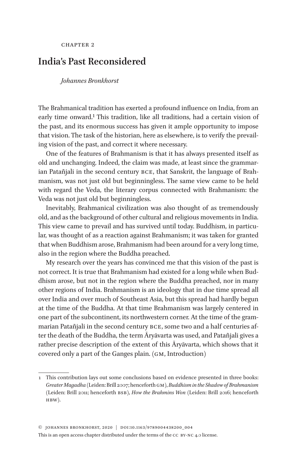#### CHAPTER 2

### **India's Past Reconsidered**

#### *Johannes Bronkhorst*

The Brahmanical tradition has exerted a profound influence on India, from an early time onward.<sup>1</sup> This tradition, like all traditions, had a certain vision of the past, and its enormous success has given it ample opportunity to impose that vision. The task of the historian, here as elsewhere, is to verify the prevailing vision of the past, and correct it where necessary.

One of the features of Brahmanism is that it has always presented itself as old and unchanging. Indeed, the claim was made, at least since the grammarian Patañjali in the second century bce, that Sanskrit, the language of Brahmanism, was not just old but beginningless. The same view came to be held with regard the Veda, the literary corpus connected with Brahmanism: the Veda was not just old but beginningless.

Inevitably, Brahmanical civilization was also thought of as tremendously old, and as the background of other cultural and religious movements in India. This view came to prevail and has survived until today. Buddhism, in particular, was thought of as a reaction against Brahmanism; it was taken for granted that when Buddhism arose, Brahmanism had been around for a very long time, also in the region where the Buddha preached.

My research over the years has convinced me that this vision of the past is not correct. It is true that Brahmanism had existed for a long while when Buddhism arose, but not in the region where the Buddha preached, nor in many other regions of India. Brahmanism is an ideology that in due time spread all over India and over much of Southeast Asia, but this spread had hardly begun at the time of the Buddha. At that time Brahmanism was largely centered in one part of the subcontinent, its northwestern corner. At the time of the grammarian Patañjali in the second century bce, some two and a half centuries after the death of the Buddha, the term Āryāvarta was used, and Patañjali gives a rather precise description of the extent of this Āryāvarta, which shows that it covered only a part of the Ganges plain. (GM, Introduction)

<sup>1</sup> This contribution lays out some conclusions based on evidence presented in three books: *Greater Magadha* (Leiden: Brill 2007; henceforth GM), *Buddhism in the Shadow of Brahmanism* (Leiden: Brill 2011; henceforth BSB), *How the Brahmins Won* (Leiden: Brill 2016; henceforth HBW).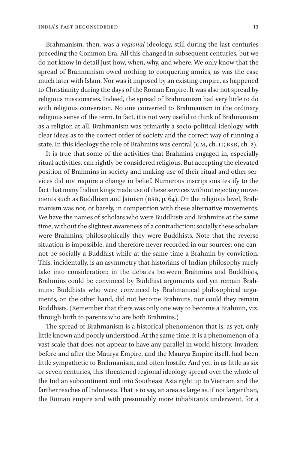Brahmanism, then, was a *regional* ideology, still during the last centuries preceding the Common Era. All this changed in subsequent centuries, but we do not know in detail just how, when, why, and where. We only know that the spread of Brahmanism owed nothing to conquering armies, as was the case much later with Islam. Nor was it imposed by an existing empire, as happened to Christianity during the days of the Roman Empire. It was also not spread by religious missionaries. Indeed, the spread of Brahmanism had very little to do with religious conversion. No one converted to Brahmanism in the ordinary religious sense of the term. In fact, it is not very useful to think of Brahmanism as a religion at all. Brahmanism was primarily a socio-political ideology, with clear ideas as to the correct order of society and the correct way of running a state. In this ideology the role of Brahmins was central (GM, ch. II; BSB, ch. 2).

It is true that some of the activities that Brahmins engaged in, especially ritual activities, can rightly be considered religious. But accepting the elevated position of Brahmins in society and making use of their ritual and other services did not require a change in belief. Numerous inscriptions testify to the fact that many Indian kings made use of these services without rejecting movements such as Buddhism and Jainism (BSB, p. 64). On the religious level, Brahmanism was not, or barely, in competition with these alternative movements. We have the names of scholars who were Buddhists and Brahmins at the same time, without the slightest awareness of a contradiction: socially these scholars were Brahmins, philosophically they were Buddhists. Note that the reverse situation is impossible, and therefore never recorded in our sources: one cannot be socially a Buddhist while at the same time a Brahmin by conviction. This, incidentally, is an asymmetry that historians of Indian philosophy rarely take into consideration: in the debates between Brahmins and Buddhists, Brahmins could be convinced by Buddhist arguments and yet remain Brahmins; Buddhists who were convinced by Brahmanical philosophical arguments, on the other hand, did not become Brahmins, nor could they remain Buddhists. (Remember that there was only one way to become a Brahmin, viz. through birth to parents who are both Brahmins.)

The spread of Brahmanism is a historical phenomenon that is, as yet, only little known and poorly understood. At the same time, it is a phenomenon of a vast scale that does not appear to have any parallel in world history. Invaders before and after the Maurya Empire, and the Maurya Empire itself, had been little sympathetic to Brahmanism, and often hostile. And yet, in as little as six or seven centuries, this threatened regional ideology spread over the whole of the Indian subcontinent and into Southeast Asia right up to Vietnam and the farther reaches of Indonesia. That is to say, an area as large as, if not larger than, the Roman empire and with presumably more inhabitants underwent, for a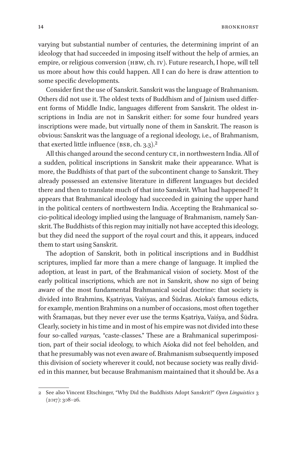varying but substantial number of centuries, the determining imprint of an ideology that had succeeded in imposing itself without the help of armies, an empire, or religious conversion (HBW, ch. IV). Future research, I hope, will tell us more about how this could happen. All I can do here is draw attention to some specific developments.

Consider first the use of Sanskrit. Sanskrit was the language of Brahmanism. Others did not use it. The oldest texts of Buddhism and of Jainism used different forms of Middle Indic, languages different from Sanskrit. The oldest inscriptions in India are not in Sanskrit either: for some four hundred years inscriptions were made, but virtually none of them in Sanskrit. The reason is obvious: Sanskrit was the language of a regional ideology, i.e., of Brahmanism, that exerted little influence (BSB, ch. 3.3).2

All this changed around the second century CE, in northwestern India. All of a sudden, political inscriptions in Sanskrit make their appearance. What is more, the Buddhists of that part of the subcontinent change to Sanskrit. They already possessed an extensive literature in different languages but decided there and then to translate much of that into Sanskrit. What had happened? It appears that Brahmanical ideology had succeeded in gaining the upper hand in the political centers of northwestern India. Accepting the Brahmanical socio-political ideology implied using the language of Brahmanism, namely Sanskrit. The Buddhists of this region may initially not have accepted this ideology, but they did need the support of the royal court and this, it appears, induced them to start using Sanskrit.

The adoption of Sanskrit, both in political inscriptions and in Buddhist scriptures, implied far more than a mere change of language. It implied the adoption, at least in part, of the Brahmanical vision of society. Most of the early political inscriptions, which are not in Sanskrit, show no sign of being aware of the most fundamental Brahmanical social doctrine: that society is divided into Brahmins, Kṣatriyas, Vaiśyas, and Śūdras. Aśoka's famous edicts, for example, mention Brahmins on a number of occasions, most often together with Śramaṇas, but they never ever use the terms Kṣatriya, Vaiśya, and Śūdra. Clearly, society in his time and in most of his empire was not divided into these four so-called *varṇa*s, "caste-classes." These are a Brahmanical superimposition, part of their social ideology, to which Aśoka did not feel beholden, and that he presumably was not even aware of. Brahmanism subsequently imposed this division of society wherever it could, not because society was really divided in this manner, but because Brahmanism maintained that it should be. As a

<sup>2</sup> See also Vincent Eltschinger, "Why Did the Buddhists Adopt Sanskrit?" *Open Linguistics* 3  $(2017): 308-26.$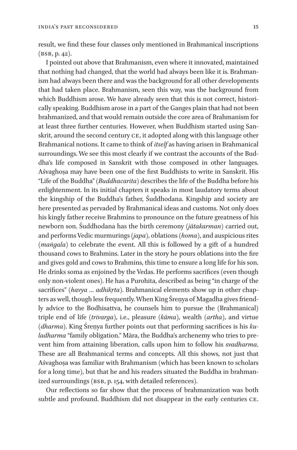result, we find these four classes only mentioned in Brahmanical inscriptions (BSB, p. 42).

I pointed out above that Brahmanism, even where it innovated, maintained that nothing had changed, that the world had always been like it is. Brahmanism had always been there and was the background for all other developments that had taken place. Brahmanism, seen this way, was the background from which Buddhism arose. We have already seen that this is not correct, historically speaking. Buddhism arose in a part of the Ganges plain that had not been brahmanized, and that would remain outside the core area of Brahmanism for at least three further centuries. However, when Buddhism started using Sanskrit, around the second century CE, it adopted along with this language other Brahmanical notions. It came to think of *itself* as having arisen in Brahmanical surroundings. We see this most clearly if we contrast the accounts of the Buddha's life composed in Sanskrit with those composed in other languages. Aśvaghoṣa may have been one of the first Buddhists to write in Sanskrit. His "Life of the Buddha" (*Buddhacarita*) describes the life of the Buddha before his enlightenment. In its initial chapters it speaks in most laudatory terms about the kingship of the Buddha's father, Śuddhodana. Kingship and society are here presented as pervaded by Brahmanical ideas and customs. Not only does his kingly father receive Brahmins to pronounce on the future greatness of his newborn son. Śuddhodana has the birth ceremony (*jātakarman*) carried out, and performs Vedic murmurings (*japa*), oblations (*homa*), and auspicious rites (*maṅgala*) to celebrate the event. All this is followed by a gift of a hundred thousand cows to Brahmins. Later in the story he pours oblations into the fire and gives gold and cows to Brahmins, this time to ensure a long life for his son. He drinks soma as enjoined by the Vedas. He performs sacrifices (even though only non-violent ones). He has a Purohita, described as being "in charge of the sacrifices" (havya ... adhikrta). Brahmanical elements show up in other chapters as well, though less frequently. When King Śreṇya of Magadha gives friendly advice to the Bodhisattva, he counsels him to pursue the (Brahmanical) triple end of life (*trivarga*), i.e., pleasure (*kāma*), wealth (*artha*), and virtue (*dharma*). King Śreṇya further points out that performing sacrifices is his *kuladharma* "family obligation." Māra, the Buddha's archenemy who tries to prevent him from attaining liberation, calls upon him to follow his *svadharma*. These are all Brahmanical terms and concepts. All this shows, not just that Aśvaghoṣa was familiar with Brahmanism (which has been known to scholars for a long time), but that he and his readers situated the Buddha in brahmanized surroundings (BSB, p. 154, with detailed references).

Our reflections so far show that the process of brahmanization was both subtle and profound. Buddhism did not disappear in the early centuries CE.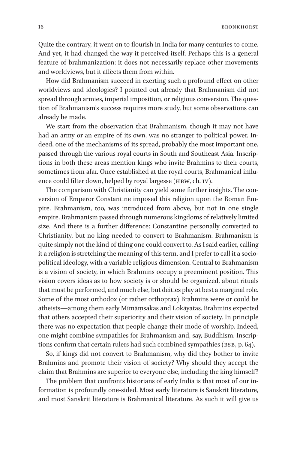Quite the contrary, it went on to flourish in India for many centuries to come. And yet, it had changed the way it perceived itself. Perhaps this is a general feature of brahmanization: it does not necessarily replace other movements and worldviews, but it affects them from within.

How did Brahmanism succeed in exerting such a profound effect on other worldviews and ideologies? I pointed out already that Brahmanism did not spread through armies, imperial imposition, or religious conversion. The question of Brahmanism's success requires more study, but some observations can already be made.

We start from the observation that Brahmanism, though it may not have had an army or an empire of its own, was no stranger to political power. Indeed, one of the mechanisms of its spread, probably the most important one, passed through the various royal courts in South and Southeast Asia. Inscriptions in both these areas mention kings who invite Brahmins to their courts, sometimes from afar. Once established at the royal courts, Brahmanical influence could filter down, helped by royal largesse (HBW, ch. IV).

The comparison with Christianity can yield some further insights. The conversion of Emperor Constantine imposed this religion upon the Roman Empire. Brahmanism, too, was introduced from above, but not in one single empire. Brahmanism passed through numerous kingdoms of relatively limited size. And there is a further difference: Constantine personally converted to Christianity, but no king needed to convert to Brahmanism. Brahmanism is quite simply not the kind of thing one could convert to. As I said earlier, calling it a religion is stretching the meaning of this term, and I prefer to call it a sociopolitical ideology, with a variable religious dimension. Central to Brahmanism is a vision of society, in which Brahmins occupy a preeminent position. This vision covers ideas as to how society is or should be organized, about rituals that must be performed, and much else, but deities play at best a marginal role. Some of the most orthodox (or rather orthoprax) Brahmins were or could be atheists—among them early Mīmāṃsakas and Lokāyatas. Brahmins expected that others accepted their superiority and their vision of society. In principle there was no expectation that people change their mode of worship. Indeed, one might combine sympathies for Brahmanism and, say, Buddhism. Inscriptions confirm that certain rulers had such combined sympathies (BSB, p. 64).

So, if kings did not convert to Brahmanism, why did they bother to invite Brahmins and promote their vision of society? Why should they accept the claim that Brahmins are superior to everyone else, including the king himself?

The problem that confronts historians of early India is that most of our information is profoundly one-sided. Most early literature is Sanskrit literature, and most Sanskrit literature is Brahmanical literature. As such it will give us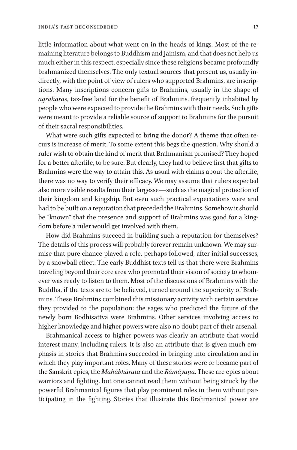little information about what went on in the heads of kings. Most of the remaining literature belongs to Buddhism and Jainism, and that does not help us much either in this respect, especially since these religions became profoundly brahmanized themselves. The only textual sources that present us, usually indirectly, with the point of view of rulers who supported Brahmins, are inscriptions. Many inscriptions concern gifts to Brahmins, usually in the shape of *agrahāra*s, tax-free land for the benefit of Brahmins, frequently inhabited by people who were expected to provide the Brahmins with their needs. Such gifts were meant to provide a reliable source of support to Brahmins for the pursuit of their sacral responsibilities.

What were such gifts expected to bring the donor? A theme that often recurs is increase of merit. To some extent this begs the question. Why should a ruler wish to obtain the kind of merit that Brahmanism promised? They hoped for a better afterlife, to be sure. But clearly, they had to believe first that gifts to Brahmins were the way to attain this. As usual with claims about the afterlife, there was no way to verify their efficacy. We may assume that rulers expected also more visible results from their largesse—such as the magical protection of their kingdom and kingship. But even such practical expectations were and had to be built on a reputation that preceded the Brahmins. Somehow it should be "known" that the presence and support of Brahmins was good for a kingdom before a ruler would get involved with them.

How did Brahmins succeed in building such a reputation for themselves? The details of this process will probably forever remain unknown. We may surmise that pure chance played a role, perhaps followed, after initial successes, by a snowball effect. The early Buddhist texts tell us that there were Brahmins traveling beyond their core area who promoted their vision of society to whomever was ready to listen to them. Most of the discussions of Brahmins with the Buddha, if the texts are to be believed, turned around the superiority of Brahmins. These Brahmins combined this missionary activity with certain services they provided to the population: the sages who predicted the future of the newly born Bodhisattva were Brahmins. Other services involving access to higher knowledge and higher powers were also no doubt part of their arsenal.

Brahmanical access to higher powers was clearly an attribute that would interest many, including rulers. It is also an attribute that is given much emphasis in stories that Brahmins succeeded in bringing into circulation and in which they play important roles. Many of these stories were or became part of the Sanskrit epics, the *Mahābhārata* and the *Rāmāyaṇa*. These are epics about warriors and fighting, but one cannot read them without being struck by the powerful Brahmanical figures that play prominent roles in them without participating in the fighting. Stories that illustrate this Brahmanical power are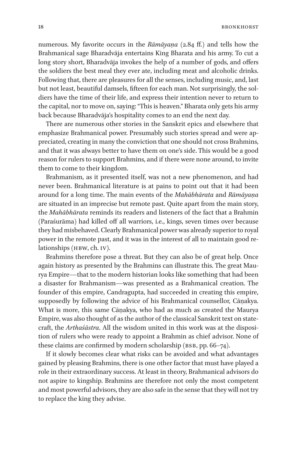numerous. My favorite occurs in the *Rāmāyaṇa* (2.84 ff.) and tells how the Brahmanical sage Bharadvāja entertains King Bharata and his army. To cut a long story short, Bharadvāja invokes the help of a number of gods, and offers the soldiers the best meal they ever ate, including meat and alcoholic drinks. Following that, there are pleasures for all the senses, including music, and, last but not least, beautiful damsels, fifteen for each man. Not surprisingly, the soldiers have the time of their life, and express their intention never to return to the capital, nor to move on, saying: "This is heaven." Bharata only gets his army back because Bharadvāja's hospitality comes to an end the next day.

There are numerous other stories in the Sanskrit epics and elsewhere that emphasize Brahmanical power. Presumably such stories spread and were appreciated, creating in many the conviction that one should not cross Brahmins, and that it was always better to have them on one's side. This would be a good reason for rulers to support Brahmins, and if there were none around, to invite them to come to their kingdom.

Brahmanism, as it presented itself, was not a new phenomenon, and had never been. Brahmanical literature is at pains to point out that it had been around for a long time. The main events of the *Mahābhārata* and *Rāmāyaṇa* are situated in an imprecise but remote past. Quite apart from the main story, the *Mahābhārata* reminds its readers and listeners of the fact that a Brahmin (Paraśurāma) had killed off all warriors, i.e., kings, seven times over because they had misbehaved. Clearly Brahmanical power was already superior to royal power in the remote past, and it was in the interest of all to maintain good relationships (HBW, ch. IV).

Brahmins therefore pose a threat. But they can also be of great help. Once again history as presented by the Brahmins can illustrate this. The great Maurya Empire—that to the modern historian looks like something that had been a disaster for Brahmanism—was presented as a Brahmanical creation. The founder of this empire, Candragupta, had succeeded in creating this empire, supposedly by following the advice of his Brahmanical counsellor, Cāṇakya. What is more, this same Cāṇakya, who had as much as created the Maurya Empire, was also thought of as the author of the classical Sanskrit text on statecraft, the *Arthaśāstra*. All the wisdom united in this work was at the disposition of rulers who were ready to appoint a Brahmin as chief advisor. None of these claims are confirmed by modern scholarship (BSB, pp. 66–74).

If it slowly becomes clear what risks can be avoided and what advantages gained by pleasing Brahmins, there is one other factor that must have played a role in their extraordinary success. At least in theory, Brahmanical advisors do not aspire to kingship. Brahmins are therefore not only the most competent and most powerful advisors, they are also safe in the sense that they will not try to replace the king they advise.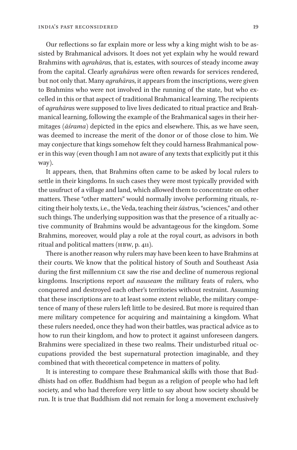Our reflections so far explain more or less why a king might wish to be assisted by Brahmanical advisors. It does not yet explain why he would reward Brahmins with *agrahāra*s, that is, estates, with sources of steady income away from the capital. Clearly *agrahāra*s were often rewards for services rendered, but not only that. Many *agrahāra*s, it appears from the inscriptions, were given to Brahmins who were not involved in the running of the state, but who excelled in this or that aspect of traditional Brahmanical learning. The recipients of *agrahāra*s were supposed to live lives dedicated to ritual practice and Brahmanical learning, following the example of the Brahmanical sages in their hermitages (*āśrama*) depicted in the epics and elsewhere. This, as we have seen, was deemed to increase the merit of the donor or of those close to him. We may conjecture that kings somehow felt they could harness Brahmanical power in this way (even though I am not aware of any texts that explicitly put it this way).

It appears, then, that Brahmins often came to be asked by local rulers to settle in their kingdoms. In such cases they were most typically provided with the usufruct of a village and land, which allowed them to concentrate on other matters. These "other matters" would normally involve performing rituals, reciting their holy texts, i.e., the Veda, teaching their *śāstra*s, "sciences," and other such things. The underlying supposition was that the presence of a ritually active community of Brahmins would be advantageous for the kingdom. Some Brahmins, moreover, would play a role at the royal court, as advisors in both ritual and political matters (HBW, p. 411).

There is another reason why rulers may have been keen to have Brahmins at their courts. We know that the political history of South and Southeast Asia during the first millennium CE saw the rise and decline of numerous regional kingdoms. Inscriptions report *ad nauseam* the military feats of rulers, who conquered and destroyed each other's territories without restraint. Assuming that these inscriptions are to at least some extent reliable, the military competence of many of these rulers left little to be desired. But more is required than mere military competence for acquiring and maintaining a kingdom. What these rulers needed, once they had won their battles, was practical advice as to how to run their kingdom, and how to protect it against unforeseen dangers. Brahmins were specialized in these two realms. Their undisturbed ritual occupations provided the best supernatural protection imaginable, and they combined that with theoretical competence in matters of polity.

It is interesting to compare these Brahmanical skills with those that Buddhists had on offer. Buddhism had begun as a religion of people who had left society, and who had therefore very little to say about how society should be run. It is true that Buddhism did not remain for long a movement exclusively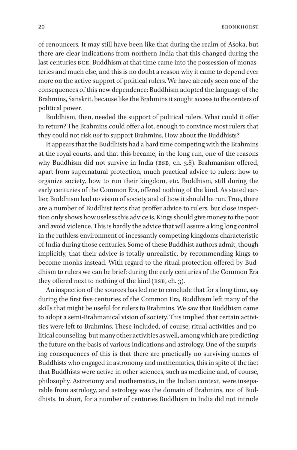of renouncers. It may still have been like that during the realm of Aśoka, but there are clear indications from northern India that this changed during the last centuries bce. Buddhism at that time came into the possession of monasteries and much else, and this is no doubt a reason why it came to depend ever more on the active support of political rulers. We have already seen one of the consequences of this new dependence: Buddhism adopted the language of the Brahmins, Sanskrit, because like the Brahmins it sought access to the centers of political power.

Buddhism, then, needed the support of political rulers. What could it offer in return? The Brahmins could offer a lot, enough to convince most rulers that they could not risk *not* to support Brahmins. How about the Buddhists?

It appears that the Buddhists had a hard time competing with the Brahmins at the royal courts, and that this became, in the long run, one of the reasons why Buddhism did not survive in India (BSB, ch. 3.8). Brahmanism offered, apart from supernatural protection, much practical advice to rulers: how to organize society, how to run their kingdom, etc. Buddhism, still during the early centuries of the Common Era, offered nothing of the kind. As stated earlier, Buddhism had no vision of society and of how it should be run. True, there are a number of Buddhist texts that proffer advice to rulers, but close inspection only shows how useless this advice is. Kings should give money to the poor and avoid violence. This is hardly the advice that will assure a king long control in the ruthless environment of incessantly competing kingdoms characteristic of India during those centuries. Some of these Buddhist authors admit, though implicitly, that their advice is totally unrealistic, by recommending kings to become monks instead. With regard to the ritual protection offered by Buddhism to rulers we can be brief: during the early centuries of the Common Era they offered next to nothing of the kind (BSB, ch. 3).

An inspection of the sources has led me to conclude that for a long time, say during the first five centuries of the Common Era, Buddhism left many of the skills that might be useful for rulers to Brahmins. We saw that Buddhism came to adopt a semi-Brahmanical vision of society. This implied that certain activities were left to Brahmins. These included, of course, ritual activities and political counseling, but many other activities as well, among which are predicting the future on the basis of various indications and astrology. One of the surprising consequences of this is that there are practically no surviving names of Buddhists who engaged in astronomy and mathematics, this in spite of the fact that Buddhists were active in other sciences, such as medicine and, of course, philosophy. Astronomy and mathematics, in the Indian context, were inseparable from astrology, and astrology was the domain of Brahmins, not of Buddhists. In short, for a number of centuries Buddhism in India did not intrude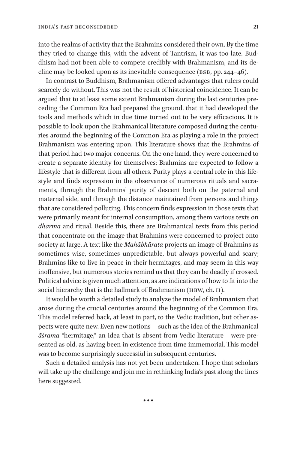into the realms of activity that the Brahmins considered their own. By the time they tried to change this, with the advent of Tantrism, it was too late. Buddhism had not been able to compete credibly with Brahmanism, and its decline may be looked upon as its inevitable consequence (BSB, pp. 244–46).

In contrast to Buddhism, Brahmanism offered advantages that rulers could scarcely do without. This was not the result of historical coincidence. It can be argued that to at least some extent Brahmanism during the last centuries preceding the Common Era had prepared the ground, that it had developed the tools and methods which in due time turned out to be very efficacious. It is possible to look upon the Brahmanical literature composed during the centuries around the beginning of the Common Era as playing a role in the project Brahmanism was entering upon. This literature shows that the Brahmins of that period had two major concerns. On the one hand, they were concerned to create a separate identity for themselves: Brahmins are expected to follow a lifestyle that is different from all others. Purity plays a central role in this lifestyle and finds expression in the observance of numerous rituals and sacraments, through the Brahmins' purity of descent both on the paternal and maternal side, and through the distance maintained from persons and things that are considered polluting. This concern finds expression in those texts that were primarily meant for internal consumption, among them various texts on *dharma* and ritual. Beside this, there are Brahmanical texts from this period that concentrate on the image that Brahmins were concerned to project onto society at large. A text like the *Mahābhārata* projects an image of Brahmins as sometimes wise, sometimes unpredictable, but always powerful and scary; Brahmins like to live in peace in their hermitages, and may seem in this way inoffensive, but numerous stories remind us that they can be deadly if crossed. Political advice is given much attention, as are indications of how to fit into the social hierarchy that is the hallmark of Brahmanism (HBW, ch. II).

It would be worth a detailed study to analyze the model of Brahmanism that arose during the crucial centuries around the beginning of the Common Era. This model referred back, at least in part, to the Vedic tradition, but other aspects were quite new. Even new notions—such as the idea of the Brahmanical *āśrama* "hermitage," an idea that is absent from Vedic literature—were presented as old, as having been in existence from time immemorial. This model was to become surprisingly successful in subsequent centuries.

Such a detailed analysis has not yet been undertaken. I hope that scholars will take up the challenge and join me in rethinking India's past along the lines here suggested.